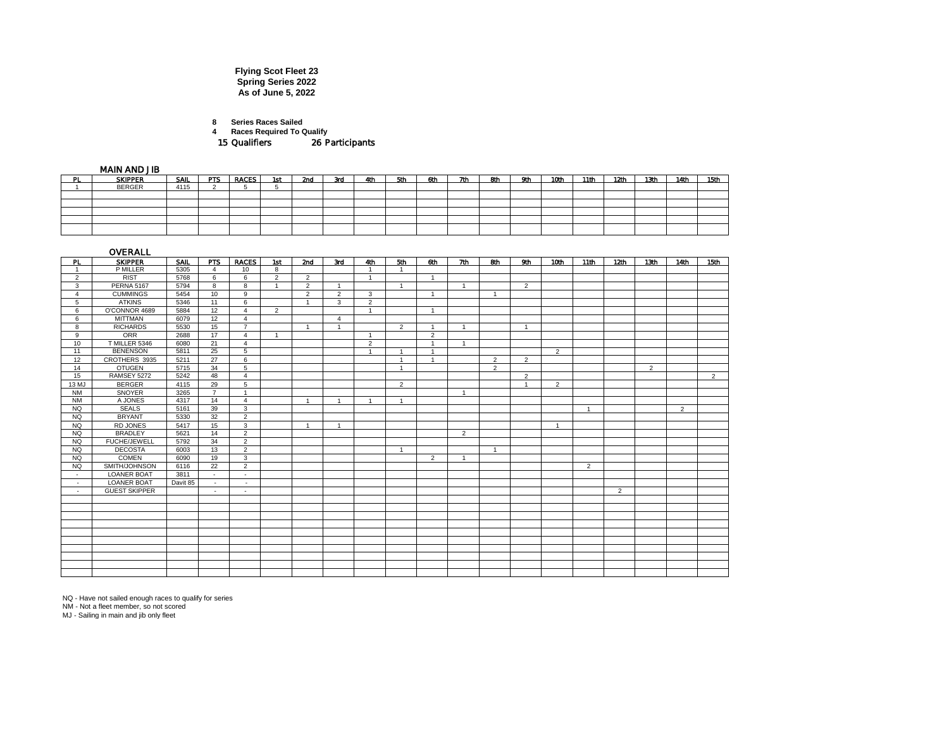## **Flying Scot Fleet 23 Spring Series 2022 As of June 5, 2022**

**8 Series Races Sailed**

**4 Races Required To Qualify**

15 Qualifiers 26 Participants

MAIN AND JIB

|    | .              |      |     |              |     |     |     |     |     |     |     |     |     |      |      |      |      |      |      |
|----|----------------|------|-----|--------------|-----|-----|-----|-----|-----|-----|-----|-----|-----|------|------|------|------|------|------|
| ÞI | <b>SKIPPER</b> | SAIL | PTS | <b>RACES</b> | 1st | 2nd | 3rd | 4th | 5th | 6th | 7th | 8th | 9th | 10th | 11th | 12th | 13th | 14th | 15th |
|    | <b>BERGER</b>  | 4115 |     |              |     |     |     |     |     |     |     |     |     |      |      |      |      |      |      |
|    |                |      |     |              |     |     |     |     |     |     |     |     |     |      |      |      |      |      |      |
|    |                |      |     |              |     |     |     |     |     |     |     |     |     |      |      |      |      |      |      |
|    |                |      |     |              |     |     |     |     |     |     |     |     |     |      |      |      |      |      |      |
|    |                |      |     |              |     |     |     |     |     |     |     |     |     |      |      |      |      |      |      |
|    |                |      |     |              |     |     |     |     |     |     |     |     |     |      |      |      |      |      |      |
|    |                |      |     |              |     |     |     |     |     |     |     |     |     |      |      |      |      |      |      |

|                | OVERALL              |          |                |                          |                |                |                |                |                |                |                |                |                |                |                |                  |                  |                |                |
|----------------|----------------------|----------|----------------|--------------------------|----------------|----------------|----------------|----------------|----------------|----------------|----------------|----------------|----------------|----------------|----------------|------------------|------------------|----------------|----------------|
| <b>PL</b>      | <b>SKIPPER</b>       | SAIL     | PTS            | <b>RACES</b>             | 1st            | 2nd            | 3rd            | 4th            | 5th            | 6th            | 7th            | 8th            | 9th            | 10th           | 11th           | 12 <sub>th</sub> | 13 <sub>th</sub> | 14th           | 15th           |
|                | P MILLER             | 5305     | 4              | 10                       | 8              |                |                | $\overline{1}$ | -1             |                |                |                |                |                |                |                  |                  |                |                |
| $\overline{2}$ | <b>RIST</b>          | 5768     | 6              | 6                        | $\overline{2}$ | 2              |                | $\overline{1}$ |                | $\mathbf{1}$   |                |                |                |                |                |                  |                  |                |                |
| 3              | <b>PERNA 5167</b>    | 5794     | 8              | 8                        | $\overline{1}$ | $\overline{2}$ |                |                | $\overline{A}$ |                | $\overline{1}$ |                | $\overline{2}$ |                |                |                  |                  |                |                |
| $\overline{4}$ | <b>CUMMINGS</b>      | 5454     | 10             | 9                        |                | $\overline{2}$ | 2              | 3              |                | $\overline{1}$ |                | $\overline{1}$ |                |                |                |                  |                  |                |                |
| 5              | <b>ATKINS</b>        | 5346     | 11             | 6                        |                | $\overline{1}$ | 3              | $\overline{2}$ |                |                |                |                |                |                |                |                  |                  |                |                |
| 6              | O'CONNOR 4689        | 5884     | 12             | $\overline{4}$           | $\overline{2}$ |                |                | $\overline{1}$ |                | $\overline{1}$ |                |                |                |                |                |                  |                  |                |                |
| 6              | <b>MITTMAN</b>       | 6079     | 12             | $\overline{4}$           |                |                | $\overline{a}$ |                |                |                |                |                |                |                |                |                  |                  |                |                |
| 8              | <b>RICHARDS</b>      | 5530     | 15             | $\overline{7}$           |                | -1             |                |                | $\overline{2}$ | $\mathbf{A}$   | -1             |                | $\overline{1}$ |                |                |                  |                  |                |                |
| 9              | ORR                  | 2688     | 17             | $\overline{4}$           | $\overline{1}$ |                |                | $\overline{1}$ |                | $\overline{2}$ |                |                |                |                |                |                  |                  |                |                |
| 10             | T MILLER 5346        | 6080     | 21             | $\overline{4}$           |                |                |                | $\overline{2}$ |                | $\overline{1}$ |                |                |                |                |                |                  |                  |                |                |
| 11             | <b>BENENSON</b>      | 5811     | 25             | 5                        |                |                |                | $\overline{1}$ | -1             | $\overline{1}$ |                |                |                | $\overline{2}$ |                |                  |                  |                |                |
| 12             | CROTHERS 3935        | 5211     | 27             | 6                        |                |                |                |                | $\mathbf{A}$   | $\overline{1}$ |                | $\overline{2}$ | $\overline{2}$ |                |                |                  |                  |                |                |
| 14             | <b>OTUGEN</b>        | 5715     | 34             | 5                        |                |                |                |                | $\mathbf{A}$   |                |                | $\overline{2}$ |                |                |                |                  | $\overline{2}$   |                |                |
| 15             | RAMSEY 5272          | 5242     | 48             | $\overline{4}$           |                |                |                |                |                |                |                |                | $\overline{2}$ |                |                |                  |                  |                | $\overline{2}$ |
| 13 MJ          | <b>BERGER</b>        | 4115     | 29             | 5                        |                |                |                |                | $\overline{2}$ |                |                |                | $\overline{1}$ | $\overline{2}$ |                |                  |                  |                |                |
| <b>NM</b>      | SNOYER               | 3265     | $\overline{7}$ | $\overline{1}$           |                |                |                |                |                |                | $\overline{1}$ |                |                |                |                |                  |                  |                |                |
| <b>NM</b>      | A JONES              | 4317     | 14             | $\overline{4}$           |                | $\overline{1}$ | $\mathbf{1}$   | $\overline{1}$ | $\overline{1}$ |                |                |                |                |                |                |                  |                  |                |                |
| NQ             | <b>SEALS</b>         | 5161     | 39             | 3                        |                |                |                |                |                |                |                |                |                |                | -1             |                  |                  | $\overline{2}$ |                |
| NQ.            | <b>BRYANT</b>        | 5330     | 32             | $\overline{2}$           |                |                |                |                |                |                |                |                |                |                |                |                  |                  |                |                |
| <b>NQ</b>      | RD JONES             | 5417     | 15             | $\overline{3}$           |                | $\overline{1}$ | $\overline{1}$ |                |                |                |                |                |                | $\overline{1}$ |                |                  |                  |                |                |
| NQ.            | <b>BRADLEY</b>       | 5621     | 14             | 2                        |                |                |                |                |                |                | $\overline{2}$ |                |                |                |                |                  |                  |                |                |
| NQ             | <b>FUCHE/JEWELL</b>  | 5792     | 34             | 2                        |                |                |                |                |                |                |                |                |                |                |                |                  |                  |                |                |
| <b>NQ</b>      | <b>DECOSTA</b>       | 6003     | 13             | 2                        |                |                |                |                | $\overline{1}$ |                |                | $\overline{1}$ |                |                |                |                  |                  |                |                |
| NQ             | <b>COMEN</b>         | 6090     | 19             | 3                        |                |                |                |                |                | $\overline{2}$ | -1             |                |                |                |                |                  |                  |                |                |
| <b>NQ</b>      | SMITH/JOHNSON        | 6116     | 22             | 2                        |                |                |                |                |                |                |                |                |                |                | $\overline{2}$ |                  |                  |                |                |
| $\sim$         | <b>LOANER BOAT</b>   | 3811     | $\sim$         | $\sim$                   |                |                |                |                |                |                |                |                |                |                |                |                  |                  |                |                |
| $\sim$         | <b>LOANER BOAT</b>   | Davit 85 | $\sim$         | ۰.                       |                |                |                |                |                |                |                |                |                |                |                |                  |                  |                |                |
| $\sim$         | <b>GUEST SKIPPER</b> |          | $\sim$         | $\overline{\phantom{a}}$ |                |                |                |                |                |                |                |                |                |                |                | $\overline{2}$   |                  |                |                |
|                |                      |          |                |                          |                |                |                |                |                |                |                |                |                |                |                |                  |                  |                |                |
|                |                      |          |                |                          |                |                |                |                |                |                |                |                |                |                |                |                  |                  |                |                |
|                |                      |          |                |                          |                |                |                |                |                |                |                |                |                |                |                |                  |                  |                |                |
|                |                      |          |                |                          |                |                |                |                |                |                |                |                |                |                |                |                  |                  |                |                |
|                |                      |          |                |                          |                |                |                |                |                |                |                |                |                |                |                |                  |                  |                |                |
|                |                      |          |                |                          |                |                |                |                |                |                |                |                |                |                |                |                  |                  |                |                |
|                |                      |          |                |                          |                |                |                |                |                |                |                |                |                |                |                |                  |                  |                |                |
|                |                      |          |                |                          |                |                |                |                |                |                |                |                |                |                |                |                  |                  |                |                |
|                |                      |          |                |                          |                |                |                |                |                |                |                |                |                |                |                |                  |                  |                |                |
|                |                      |          |                |                          |                |                |                |                |                |                |                |                |                |                |                |                  |                  |                |                |

NQ - Have not sailed enough races to qualify for series NM - Not a fleet member, so not scored MJ - Sailing in main and jib only fleet